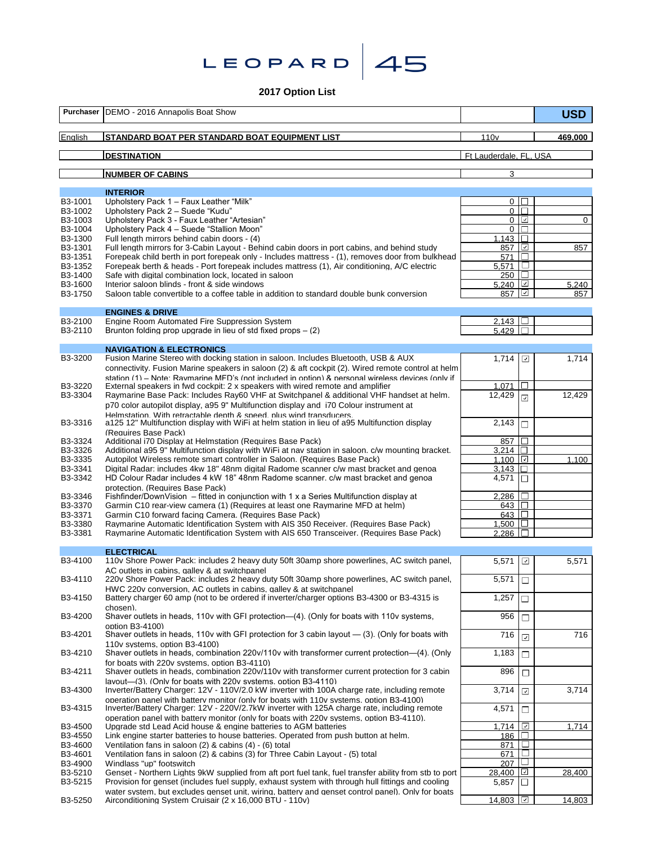**Leopard 45**

# **2017 Option List**

| Purchaser          | DEMO - 2016 Annapolis Boat Show                                                                                                                                                                                                                                                    |                              |                          | <b>USD</b>  |
|--------------------|------------------------------------------------------------------------------------------------------------------------------------------------------------------------------------------------------------------------------------------------------------------------------------|------------------------------|--------------------------|-------------|
| English            | STANDARD BOAT PER STANDARD BOAT EQUIPMENT LIST                                                                                                                                                                                                                                     | 110 <sub>v</sub>             |                          | 469,000     |
|                    | <b>DESTINATION</b>                                                                                                                                                                                                                                                                 | Ft Lauderdale, FL, USA       |                          |             |
|                    | <b>NUMBER OF CABINS</b>                                                                                                                                                                                                                                                            | 3                            |                          |             |
|                    |                                                                                                                                                                                                                                                                                    |                              |                          |             |
| B3-1001            | <b>INTERIOR</b><br>Upholstery Pack 1 - Faux Leather "Milk"                                                                                                                                                                                                                         | $\mathbf{0}$                 | $\mathbf{I}$             |             |
| B3-1002            | Upholstery Pack 2 - Suede "Kudu"                                                                                                                                                                                                                                                   | $\mathbf 0$                  | $\Box$<br>☑              |             |
| B3-1003<br>B3-1004 | Upholstery Pack 3 - Faux Leather "Artesian"<br>Upholstery Pack 4 - Suede "Stallion Moon"                                                                                                                                                                                           | $\mathbf{0}$<br>$\mathbf{0}$ | П                        | $\mathbf 0$ |
| B3-1300            | Full length mirrors behind cabin doors - (4)                                                                                                                                                                                                                                       | 1.143                        | $\Box$                   |             |
| B3-1301            | Full length mirrors for 3-Cabin Layout - Behind cabin doors in port cabins, and behind study<br>Forepeak child berth in port forepeak only - Includes mattress - (1), removes door from bulkhead                                                                                   | 857                          | ⊡<br>$\Box$              | 857         |
| B3-1351<br>B3-1352 | Forepeak berth & heads - Port forepeak includes mattress (1), Air conditioning, A/C electric                                                                                                                                                                                       | 571<br>5,571                 | $\Box$                   |             |
| B3-1400            | Safe with digital combination lock, located in saloon                                                                                                                                                                                                                              | 250                          | $\Box$                   |             |
| B3-1600            | Interior saloon blinds - front & side windows                                                                                                                                                                                                                                      | 5.240                        | ☑<br>☑                   | 5,240       |
| B3-1750            | Saloon table convertible to a coffee table in addition to standard double bunk conversion                                                                                                                                                                                          | 857                          |                          | 857         |
|                    | <b>ENGINES &amp; DRIVE</b>                                                                                                                                                                                                                                                         |                              |                          |             |
| B3-2100<br>B3-2110 | Engine Room Automated Fire Suppression System<br>Brunton folding prop upgrade in lieu of std fixed props $-$ (2)                                                                                                                                                                   | 2,143<br>5.429               |                          |             |
|                    |                                                                                                                                                                                                                                                                                    |                              |                          |             |
|                    | <b>NAVIGATION &amp; ELECTRONICS</b>                                                                                                                                                                                                                                                |                              |                          |             |
| B3-3200            | Fusion Marine Stereo with docking station in saloon. Includes Bluetooth, USB & AUX<br>connectivity. Fusion Marine speakers in saloon (2) & aft cockpit (2). Wired remote control at helm                                                                                           | 1,714                        | ☑                        | 1,714       |
|                    | station (1) - Note: Raymarine MFD's (not included in option) & personal wireless devices (only if                                                                                                                                                                                  |                              |                          |             |
| B3-3220            | External speakers in fwd cockpit: 2 x speakers with wired remote and amplifier                                                                                                                                                                                                     | 1.071                        |                          |             |
| B3-3304            | Raymarine Base Pack: Includes Ray60 VHF at Switchpanel & additional VHF handset at helm.                                                                                                                                                                                           | 12,429                       | ⊡                        | 12,429      |
|                    | p70 color autopilot display, a95 9" Multifunction display and i70 Colour instrument at<br>Helmstation With retractable denth & sneed plus wind transducers                                                                                                                         |                              |                          |             |
| B3-3316            | a125 12" Multifunction display with WiFi at helm station in lieu of a95 Multifunction display                                                                                                                                                                                      | 2,143                        | □                        |             |
| B3-3324            | (Requires Base Pack)<br>Additional i70 Display at Helmstation (Requires Base Pack)                                                                                                                                                                                                 | 857                          | П                        |             |
| B3-3326            | Additional a95 9" Multifunction display with WiFi at nay station in saloon. c/w mounting bracket.                                                                                                                                                                                  | 3.214                        | П                        |             |
| B3-3335            | Autopilot Wireless remote smart controller in Saloon. (Requires Base Pack)                                                                                                                                                                                                         | 1,100                        | ☑                        | 1,100       |
| B3-3341<br>B3-3342 | Digital Radar: includes 4kw 18" 48nm digital Radome scanner c/w mast bracket and genoa<br>HD Colour Radar includes 4 kW 18" 48nm Radome scanner. c/w mast bracket and genoa                                                                                                        | 3.143                        | П                        |             |
|                    | protection. (Requires Base Pack)                                                                                                                                                                                                                                                   | 4,571                        | $\Box$                   |             |
| B3-3346            | Fishfinder/DownVision $-$ fitted in conjunction with 1 x a Series Multifunction display at                                                                                                                                                                                         | 2,286                        | $\Box$                   |             |
| B3-3370            | Garmin C10 rear-view camera (1) (Requires at least one Raymarine MFD at helm)                                                                                                                                                                                                      | 643                          | □                        |             |
| B3-3371<br>B3-3380 | Garmin C10 forward facing Camera. (Requires Base Pack)<br>Raymarine Automatic Identification System with AIS 350 Receiver. (Requires Base Pack)                                                                                                                                    | 643<br>1,500                 | ⊔                        |             |
| B3-3381            | Raymarine Automatic Identification System with AIS 650 Transceiver. (Requires Base Pack)                                                                                                                                                                                           | 2.286                        | П                        |             |
|                    | <b>ELECTRICAL</b>                                                                                                                                                                                                                                                                  |                              |                          |             |
| B3-4100            | 110v Shore Power Pack: includes 2 heavy duty 50ft 30amp shore powerlines, AC switch panel,                                                                                                                                                                                         | 5,571                        | ⊡                        | 5,571       |
|                    | AC outlets in cabins. aallev & at switchpanel                                                                                                                                                                                                                                      |                              |                          |             |
| B3-4110            | 220v Shore Power Pack: includes 2 heavy duty 50ft 30amp shore powerlines, AC switch panel,<br>HWC 220v conversion. AC outlets in cabins. aallev & at switchbanel                                                                                                                   | 5,571                        | □                        |             |
| B3-4150            | Battery charger 60 amp (not to be ordered if inverter/charger options B3-4300 or B3-4315 is<br>chosen).                                                                                                                                                                            | 1,257                        | $\Box$                   |             |
| B3-4200            | Shaver outlets in heads, 110v with GFI protection—(4). (Only for boats with 110v systems,<br>option B3-4100)                                                                                                                                                                       | 956                          | $\Box$                   |             |
| B3-4201            | Shaver outlets in heads, 110v with GFI protection for 3 cabin layout - (3). (Only for boats with<br>110y systems, option B3-4100)                                                                                                                                                  | 716                          | $\overline{v}$           | 716         |
| B3-4210            | Shaver outlets in heads, combination 220v/110v with transformer current protection-(4). (Only<br>for boats with 220v systems. option B3-4110)                                                                                                                                      | 1,183                        | $\Box$                   |             |
| B3-4211            | Shaver outlets in heads, combination 220v/110v with transformer current protection for 3 cabin<br>lavout-(3). (Only for boats with 220v systems. option B3-4110)                                                                                                                   | 896                          | $\Box$                   |             |
| B3-4300            | Inverter/Battery Charger: 12V - 110V/2.0 kW inverter with 100A charge rate, including remote                                                                                                                                                                                       | 3,714                        | ☑                        | 3,714       |
| B3-4315            | operation panel with battery monitor (only for boats with 110y systems, option B3-4100)<br>Inverter/Battery Charger: 12V - 220V/2.7kW inverter with 125A charge rate, including remote<br>operation panel with battery monitor (only for boats with 220v systems. option B3-4110). | 4,571                        | □                        |             |
| B3-4500            | Upgrade std Lead Acid house & engine batteries to AGM batteries                                                                                                                                                                                                                    | 1.714                        | ☑                        | 1,714       |
| B3-4550            | Link engine starter batteries to house batteries. Operated from push button at helm.                                                                                                                                                                                               | 186                          | $\Box$                   |             |
| B3-4600<br>B3-4601 | Ventilation fans in saloon (2) & cabins (4) - (6) total<br>Ventilation fans in saloon (2) & cabins (3) for Three Cabin Layout - (5) total                                                                                                                                          | 871<br>671                   | $\Box$<br>$\Box$         |             |
| B3-4900            | Windlass "up" footswitch                                                                                                                                                                                                                                                           | 207                          | $\Box$                   |             |
| B3-5210            | Genset - Northern Lights 9kW supplied from aft port fuel tank, fuel transfer ability from stb to port                                                                                                                                                                              | 28,400                       | $\checkmark$             | 28,400      |
| B3-5215            | Provision for genset (includes fuel supply, exhaust system with through hull fittings and cooling<br>water system, but excludes genset unit, wiring, battery and genset control panel). Only for boats                                                                             | 5,857                        | $\overline{\phantom{a}}$ |             |
| B3-5250            | Airconditioning System Cruisair (2 x 16,000 BTU - 110v)                                                                                                                                                                                                                            | 14,803                       | ☑                        | 14,803      |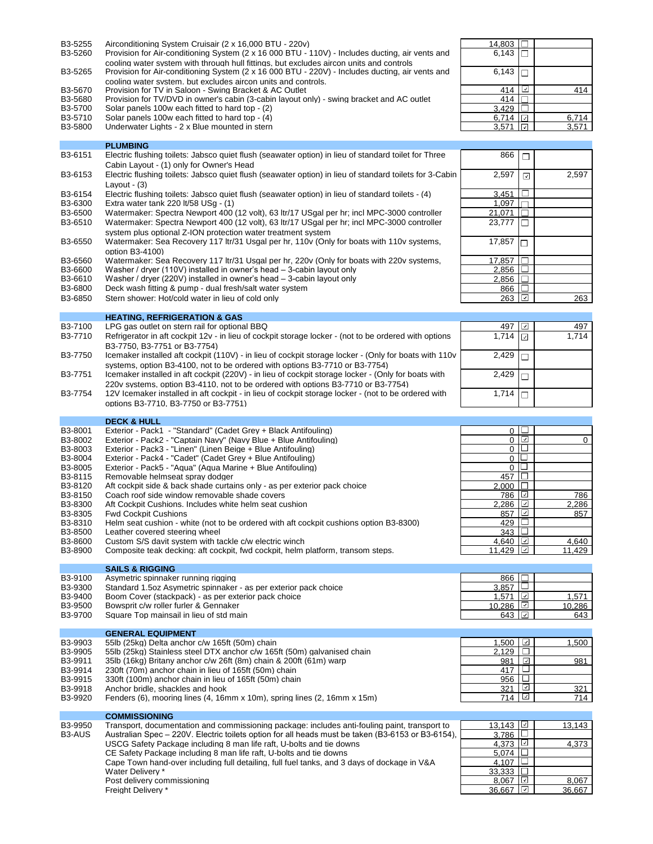| B3-5255<br>Airconditioning System Cruisair (2 x 16.000 BTU - 220y) | 14.803 |  |  |  |
|--------------------------------------------------------------------|--------|--|--|--|
|--------------------------------------------------------------------|--------|--|--|--|

- B3-5260 Provision for Air-conditioning System (2 x 16 000 BTU 110V) Includes ducting, air vents and cooling water system with through hull fittings, but excludes aircon units and controls B3-5265 Provision for Air-conditioning System (2 x 16 000 BTU - 220V) - Includes ducting, air vents and
- cooling water system, but excludes aircon units and controls.<br>B3-5670 Provision for TV in Saloon Swing Bracket & AC Outlet 414 414 414 414 414 414 414 414
- 
- B3-5680 Provision for TV/DVD in owner's cabin (3-cabin layout only) swing bracket and AC outlet Fuller 414
- B3-5700 Solar panels 100w each fitted to hard top (2)  $3,429$
- B3-5710 Solar panels 100w each fitted to hard top (4) B3-5800 Underwater Lights 2 x Blue mounted in stern

**PLUMBING**

Underwater Lights - 2 x Blue mounted in stern

| 14,803 |    |                       |
|--------|----|-----------------------|
| 6,143  | П  |                       |
| 6,143  | ⊓  |                       |
| 414    | ∣√ | 414                   |
| 414    |    |                       |
| 3,429  |    |                       |
| 6,714  | J  |                       |
| 3,571  |    | $\frac{6,714}{3,571}$ |
|        |    |                       |

| B3-6151 | Electric flushing toilets: Jabsco quiet flush (seawater option) in lieu of standard toilet for Three<br>Cabin Layout - (1) only for Owner's Head                                        | 866                   | □                        |        |
|---------|-----------------------------------------------------------------------------------------------------------------------------------------------------------------------------------------|-----------------------|--------------------------|--------|
| B3-6153 | Electric flushing toilets: Jabsco quiet flush (seawater option) in lieu of standard toilets for 3-Cabin<br>Layout $-$ (3)                                                               | 2,597                 | $\overline{\checkmark}$  | 2,597  |
| B3-6154 | Electric flushing toilets: Jabsco quiet flush (seawater option) in lieu of standard toilets - (4)                                                                                       | 3.451                 | $\Box$                   |        |
| B3-6300 | Extra water tank 220 lt/58 $USg - (1)$                                                                                                                                                  | 1,097                 | $\Box$                   |        |
| B3-6500 | Watermaker: Spectra Newport 400 (12 volt), 63 ltr/17 USgal per hr; incl MPC-3000 controller                                                                                             | 21,071                | $\Box$                   |        |
| B3-6510 | Watermaker: Spectra Newport 400 (12 volt), 63 ltr/17 USgal per hr; incl MPC-3000 controller                                                                                             | 23,777                | $\Box$                   |        |
|         | system plus optional Z-ION protection water treatment system                                                                                                                            |                       |                          |        |
| B3-6550 | Watermaker: Sea Recovery 117 Itr/31 Usgal per hr, 110v (Only for boats with 110v systems,<br>option B3-4100)                                                                            | 17,857                | O                        |        |
| B3-6560 | Watermaker: Sea Recovery 117 ltr/31 Usgal per hr, 220v (Only for boats with 220v systems,                                                                                               | 17,857                | $\Box$                   |        |
| B3-6600 | Washer / dryer (110V) installed in owner's head – 3-cabin layout only                                                                                                                   | 2.856                 | $\Box$                   |        |
| B3-6610 | Washer / dryer (220V) installed in owner's head – 3-cabin layout only                                                                                                                   | 2,856                 |                          |        |
| B3-6800 | Deck wash fitting & pump - dual fresh/salt water system                                                                                                                                 | 866 $\Box$            |                          |        |
| B3-6850 | Stern shower: Hot/cold water in lieu of cold only                                                                                                                                       | 263                   | ⊡                        | 263    |
|         | <b>HEATING, REFRIGERATION &amp; GAS</b>                                                                                                                                                 |                       |                          |        |
| B3-7100 | LPG gas outlet on stern rail for optional BBQ                                                                                                                                           | 497                   | ⊡                        | 497    |
| B3-7710 | Refrigerator in aft cockpit 12v - in lieu of cockpit storage locker - (not to be ordered with options                                                                                   | 1,714                 |                          | 1,714  |
|         | B3-7750, B3-7751 or B3-7754)                                                                                                                                                            |                       | ⊡                        |        |
| B3-7750 | Icemaker installed aft cockpit (110V) - in lieu of cockpit storage locker - (Only for boats with 110v                                                                                   | 2,429                 | $\Box$                   |        |
|         | systems, option B3-4100, not to be ordered with options B3-7710 or B3-7754)                                                                                                             |                       |                          |        |
| B3-7751 | Icemaker installed in aft cockpit (220V) - in lieu of cockpit storage locker - (Only for boats with<br>220v systems, option B3-4110, not to be ordered with options B3-7710 or B3-7754) | 2,429                 | $\Box$                   |        |
| B3-7754 | 12V Icemaker installed in aft cockpit - in lieu of cockpit storage locker - (not to be ordered with                                                                                     | 1,714                 | $\Box$                   |        |
|         | options B3-7710, B3-7750 or B3-7751)                                                                                                                                                    |                       |                          |        |
|         | <b>DECK &amp; HULL</b>                                                                                                                                                                  |                       |                          |        |
| B3-8001 | Exterior - Pack1 - "Standard" (Cadet Grey + Black Antifouling)                                                                                                                          |                       | 0 <sup>1</sup>           |        |
| B3-8002 | Exterior - Pack2 - "Captain Navy" (Navy Blue + Blue Antifouling)                                                                                                                        |                       | $0$ $\boxed{2}$          | 0      |
| B3-8003 | Exterior - Pack3 - "Linen" (Linen Beige + Blue Antifouling)                                                                                                                             |                       | $\overline{0}$           |        |
| B3-8004 | Exterior - Pack4 - "Cadet" (Cadet Grey + Blue Antifouling)                                                                                                                              |                       | $\overline{0}$           |        |
| B3-8005 | Exterior - Pack5 - "Aqua" (Aqua Marine + Blue Antifouling)                                                                                                                              |                       | 0 <sup>1</sup>           |        |
| B3-8115 | Removable helmseat spray dodger                                                                                                                                                         | 457                   | □                        |        |
| B3-8120 | Aft cockpit side & back shade curtains only - as per exterior pack choice                                                                                                               | $2,000$ $\Box$        |                          |        |
| B3-8150 | Coach roof side window removable shade covers                                                                                                                                           | 786 l                 | $\overline{\phantom{a}}$ | 786    |
| B3-8300 | Aft Cockpit Cushions. Includes white helm seat cushion                                                                                                                                  | 2,286                 |                          | 2,286  |
| B3-8305 | <b>Fwd Cockpit Cushions</b>                                                                                                                                                             | 857                   | $\overline{ }$           | 857    |
| B3-8310 | Helm seat cushion - white (not to be ordered with aft cockpit cushions option B3-8300)                                                                                                  | 429 $\Box$            |                          |        |
| B3-8500 | Leather covered steering wheel                                                                                                                                                          | 343                   | $\Box$                   |        |
| B3-8600 | Custom S/S davit system with tackle c/w electric winch                                                                                                                                  | 4,640                 | ☑                        | 4,640  |
| B3-8900 | Composite teak decking: aft cockpit, fwd cockpit, helm platform, transom steps.                                                                                                         | 11,429 $\boxed{\Box}$ |                          | 11,429 |
|         |                                                                                                                                                                                         |                       |                          |        |
|         | <b>SAILS &amp; RIGGING</b>                                                                                                                                                              |                       |                          |        |
| B3-9100 | Asymetric spinnaker running rigging                                                                                                                                                     | 866                   | П                        |        |
| B3-9300 | Standard 1.5oz Asymetric spinnaker - as per exterior pack choice                                                                                                                        | 3,857 I⊔              |                          |        |
| B3-9400 | Boom Cover (stackpack) - as per exterior pack choice                                                                                                                                    | 1.571                 | ☑                        | 1,571  |
| B3-9500 | Bowsprit c/w roller furler & Gennaker                                                                                                                                                   | 10,286                | ☑                        | 10,286 |
| B3-9700 | Square Top mainsail in lieu of std main                                                                                                                                                 | 643                   | ☑                        | 643    |
|         | <b>GENERAL EQUIPMENT</b>                                                                                                                                                                |                       |                          |        |
| B3-9903 | 55lb (25kg) Delta anchor c/w 165ft (50m) chain                                                                                                                                          | 1,500                 | ☑                        | 1,500  |
| B3-9905 | 55lb (25kg) Stainless steel DTX anchor c/w 165ft (50m) galvanised chain                                                                                                                 | 2,129                 | □                        |        |
| B3-9911 | 35lb (16kg) Britany anchor c/w 26ft (8m) chain & 200ft (61m) warp                                                                                                                       | 981                   | ⊡                        | 981    |
| B3-9914 | 230ft (70m) anchor chain in lieu of 165ft (50m) chain                                                                                                                                   | 417                   | $\Box$                   |        |
| B3-9915 | 330ft (100m) anchor chain in lieu of 165ft (50m) chain                                                                                                                                  | 956                   | □                        |        |
| B3-9918 | Anchor bridle, shackles and hook                                                                                                                                                        | 321                   | ☑                        | 321    |
| B3-9920 | Fenders (6), mooring lines (4, 16mm x 10m), spring lines (2, 16mm x 15m)                                                                                                                | 714                   | ☑                        | 714    |
|         |                                                                                                                                                                                         |                       |                          |        |
|         | <b>COMMISSIONING</b>                                                                                                                                                                    |                       |                          |        |
| B3-9950 | Transport, documentation and commissioning package: includes anti-fouling paint, transport to                                                                                           | 13,143   ⊻            |                          | 13,143 |

| B3-AUS<br>3.786<br>Australian Spec – 220V. Electric toilets option for all heads must be taken (B3-6153 or B3-6154).<br>4.373   ⊡<br>USCG Safety Package including 8 man life raft. U-bolts and tie downs<br>CE Safety Package including 8 man life raft. U-bolts and tie downs<br>5,074 I∟<br>4.107<br>Cape Town hand-over including full detailing, full fuel tanks, and 3 days of dockage in V&A<br>$33.333$ II<br>Water Delivery *<br>8.067<br>Post delivery commissioning<br>36.667<br>   v  <br>Freight Delivery * | טטט טש | ו ועווטטטונ. עטעעוווטווענוטוו עווע טטווווועטוטווווע טעטנענע. וווטועעטט עוונו וטעוווע טעווונ. נוערוטטטונ נט | . סדו. טו | 10,110 |
|--------------------------------------------------------------------------------------------------------------------------------------------------------------------------------------------------------------------------------------------------------------------------------------------------------------------------------------------------------------------------------------------------------------------------------------------------------------------------------------------------------------------------|--------|------------------------------------------------------------------------------------------------------------|-----------|--------|
|                                                                                                                                                                                                                                                                                                                                                                                                                                                                                                                          |        |                                                                                                            |           |        |
|                                                                                                                                                                                                                                                                                                                                                                                                                                                                                                                          |        |                                                                                                            |           | 4.373  |
|                                                                                                                                                                                                                                                                                                                                                                                                                                                                                                                          |        |                                                                                                            |           |        |
|                                                                                                                                                                                                                                                                                                                                                                                                                                                                                                                          |        |                                                                                                            |           |        |
|                                                                                                                                                                                                                                                                                                                                                                                                                                                                                                                          |        |                                                                                                            |           |        |
|                                                                                                                                                                                                                                                                                                                                                                                                                                                                                                                          |        |                                                                                                            |           | 8.067  |
|                                                                                                                                                                                                                                                                                                                                                                                                                                                                                                                          |        |                                                                                                            |           | 36.667 |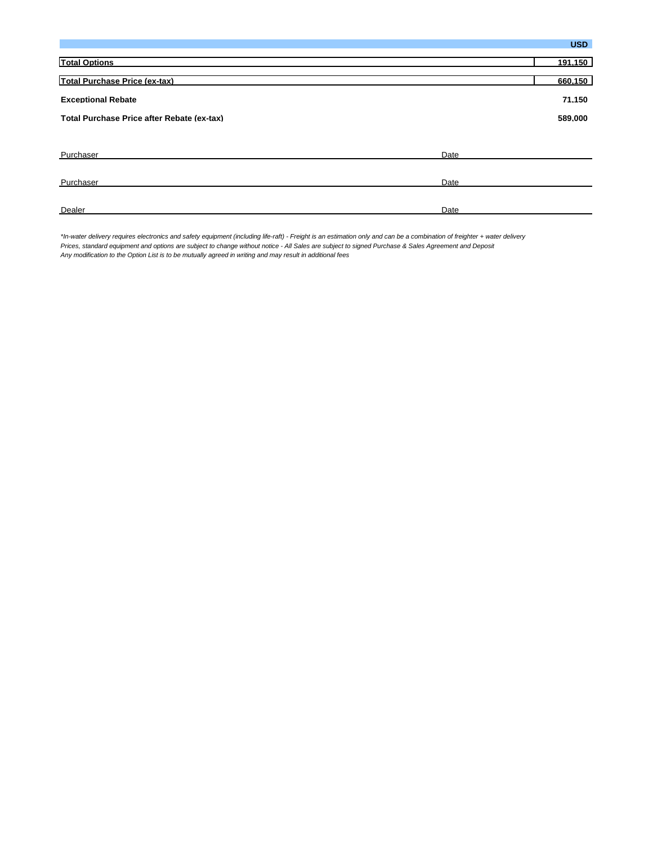|                                            | <b>USD</b> |
|--------------------------------------------|------------|
| <b>Total Options</b>                       | 191,150    |
| Total Purchase Price (ex-tax)              | 660.150    |
| <b>Exceptional Rebate</b>                  | 71,150     |
| Total Purchase Price after Rebate (ex-tax) | 589,000    |
|                                            |            |
| Purchaser<br>Date                          |            |
| Purchaser<br>Date                          |            |
| Dealer<br>Date                             |            |

*\*In-water delivery requires electronics and safety equipment (including life-raft) - Freight is an estimation only and can be a combination of freighter + water delivery Prices, standard equipment and options are subject to change without notice - All Sales are subject to signed Purchase & Sales Agreement and Deposit Any modification to the Option List is to be mutually agreed in writing and may result in additional fees*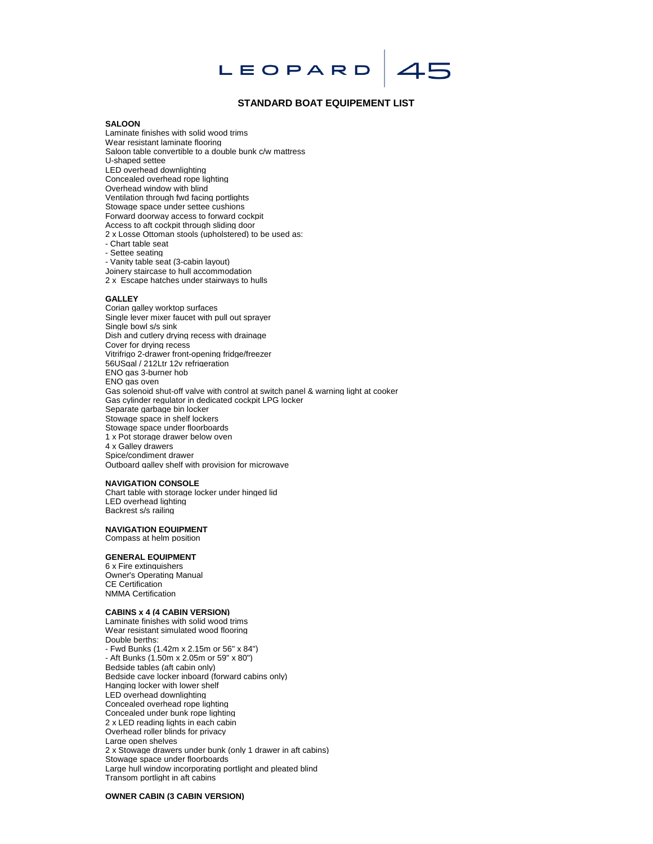# LEOPARD

# **STANDARD BOAT EQUIPEMENT LIST**

 $45$ 

## **SALOON**

Laminate finishes with solid wood trims Wear resistant laminate flooring Saloon table convertible to a double bunk c/w mattress U-shaped settee LED overhead downlighting Concealed overhead rope lighting Overhead window with blind Ventilation through fwd facing portlights Stowage space under settee cushions Forward doorway access to forward cockpit Access to aft cockpit through sliding door 2 x Losse Ottoman stools (upholstered) to be used as: - Chart table seat - Settee seating - Vanity table seat (3-cabin layout)

Joinery staircase to hull accommodation 2 x Escape hatches under stairways to hulls

#### **GALLEY**

Corian galley worktop surfaces Single lever mixer faucet with pull out sprayer Single bowl s/s sink Dish and cutlery drying recess with drainage Cover for drying recess Vitrifrigo 2-drawer front-opening fridge/freezer 56USgal / 212Ltr 12v refrigeration ENO gas 3-burner hob ENO gas oven Gas solenoid shut-off valve with control at switch panel & warning light at cooker Gas cylinder regulator in dedicated cockpit LPG locker Separate garbage bin locker Stowage space in shelf lockers Stowage space under floorboards 1 x Pot storage drawer below oven 4 x Galley drawers Spice/condiment drawer Outboard galley shelf with provision for microwave

#### **NAVIGATION CONSOLE**

Chart table with storage locker under hinged lid LED overhead lighting Backrest s/s railing

### **NAVIGATION EQUIPMENT**

Compass at helm position

# **GENERAL EQUIPMENT**

6 x Fire extinguishers Owner's Operating Manual CE Certification NMMA Certification

#### **CABINS x 4 (4 CABIN VERSION)**

Laminate finishes with solid wood trims Wear resistant simulated wood flooring Double berths: - Fwd Bunks (1.42m x 2.15m or 56" x 84") - Aft Bunks (1.50m x 2.05m or 59" x 80") Bedside tables (aft cabin only) Bedside cave locker inboard (forward cabins only) Hanging locker with lower shelf LED overhead downlighting Concealed overhead rope lighting Concealed under bunk rope lighting 2 x LED reading lights in each cabin Overhead roller blinds for privacy Large open shelves 2 x Stowage drawers under bunk (only 1 drawer in aft cabins) Stowage space under floorboards Large hull window incorporating portlight and pleated blind Transom portlight in aft cabins

**OWNER CABIN (3 CABIN VERSION)**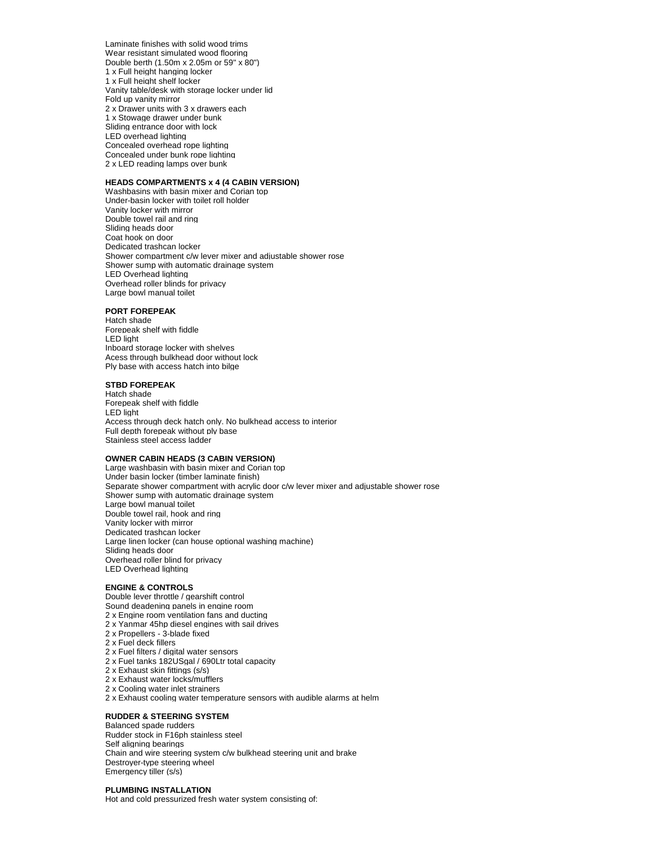Laminate finishes with solid wood trims Wear resistant simulated wood flooring Double berth (1.50m x 2.05m or 59" x 80") 1 x Full height hanging locker 1 x Full height shelf locker Vanity table/desk with storage locker under lid Fold up vanity mirror 2 x Drawer units with 3 x drawers each 1 x Stowage drawer under bunk Sliding entrance door with lock LED overhead lighting Concealed overhead rope lighting Concealed under bunk rope lighting 2 x LED reading lamps over bunk

#### **HEADS COMPARTMENTS x 4 (4 CABIN VERSION)**

Washbasins with basin mixer and Corian top Under-basin locker with toilet roll holder Vanity locker with mirror Double towel rail and ring Sliding heads door Coat hook on door Dedicated trashcan locker Shower compartment c/w lever mixer and adjustable shower rose Shower sump with automatic drainage system LED Overhead lighting Overhead roller blinds for privacy Large bowl manual toilet

# **PORT FOREPEAK**

Hatch shade Forepeak shelf with fiddle LED light Inboard storage locker with shelves Acess through bulkhead door without lock Ply base with access hatch into bilge

#### **STBD FOREPEAK**

Hatch shade Forepeak shelf with fiddle LED light Access through deck hatch only. No bulkhead access to interior Full depth forepeak without ply base Stainless steel access ladder

#### **OWNER CABIN HEADS (3 CABIN VERSION)**

Large washbasin with basin mixer and Corian top Under basin locker (timber laminate finish) Separate shower compartment with acrylic door c/w lever mixer and adjustable shower rose Shower sump with automatic drainage system Large bowl manual toilet Double towel rail, hook and ring Vanity locker with mirror Dedicated trashcan locker Large linen locker (can house optional washing machine) Sliding heads door Overhead roller blind for privacy LED Overhead lighting

#### **ENGINE & CONTROLS**

Double lever throttle / gearshift control

- Sound deadening panels in engine room
- 2 x Engine room ventilation fans and ducting 2 x Yanmar 45hp diesel engines with sail drives
- 2 x Propellers 3-blade fixed
- 2 x Fuel deck fillers
- 2 x Fuel filters / digital water sensors
- 2 x Fuel tanks 182USgal / 690Ltr total capacity
- 2 x Exhaust skin fittings (s/s)
- 2 x Exhaust water locks/mufflers
- 2 x Cooling water inlet strainers
- 2 x Exhaust cooling water temperature sensors with audible alarms at helm

# **RUDDER & STEERING SYSTEM**

Balanced spade rudders Rudder stock in F16ph stainless steel Self aligning bearings Chain and wire steering system c/w bulkhead steering unit and brake Destroyer-type steering wheel Emergency tiller (s/s)

#### **PLUMBING INSTALLATION**

Hot and cold pressurized fresh water system consisting of: